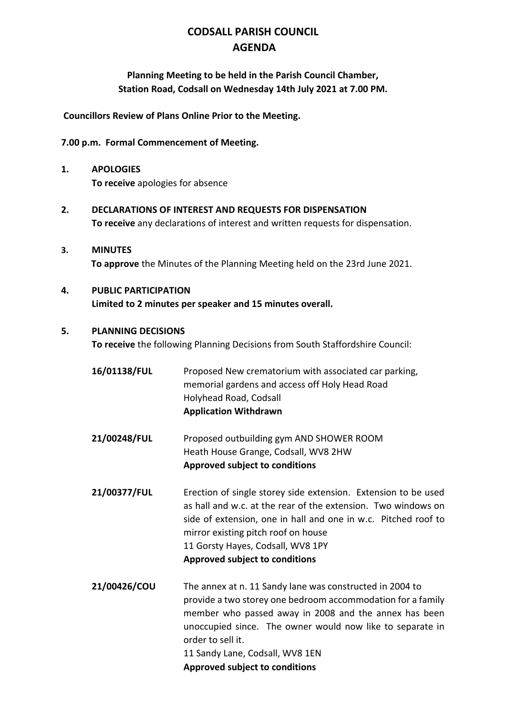# **CODSALL PARISH COUNCIL AGENDA**

**Planning Meeting to be held in the Parish Council Chamber, Station Road, Codsall on Wednesday 14th July 2021 at 7.00 PM.**

**Councillors Review of Plans Online Prior to the Meeting.**

#### **7.00 p.m. Formal Commencement of Meeting.**

- **1. APOLOGIES To receive** apologies for absence
- **2. DECLARATIONS OF INTEREST AND REQUESTS FOR DISPENSATION To receive** any declarations of interest and written requests for dispensation.
- **3. MINUTES To approve** the Minutes of the Planning Meeting held on the 23rd June 2021.

## **4. PUBLIC PARTICIPATION Limited to 2 minutes per speaker and 15 minutes overall.**

#### **5. PLANNING DECISIONS**

**To receive** the following Planning Decisions from South Staffordshire Council:

- **16/01138/FUL** Proposed New crematorium with associated car parking, memorial gardens and access off Holy Head Road Holyhead Road, Codsall **Application Withdrawn**
- **21/00248/FUL** Proposed outbuilding gym AND SHOWER ROOM Heath House Grange, Codsall, WV8 2HW **Approved subject to conditions**
- **21/00377/FUL** Erection of single storey side extension. Extension to be used as hall and w.c. at the rear of the extension. Two windows on side of extension, one in hall and one in w.c. Pitched roof to mirror existing pitch roof on house 11 Gorsty Hayes, Codsall, WV8 1PY **Approved subject to conditions**
- **21/00426/COU** The annex at n. 11 Sandy lane was constructed in 2004 to provide a two storey one bedroom accommodation for a family member who passed away in 2008 and the annex has been unoccupied since. The owner would now like to separate in order to sell it. 11 Sandy Lane, Codsall, WV8 1EN **Approved subject to conditions**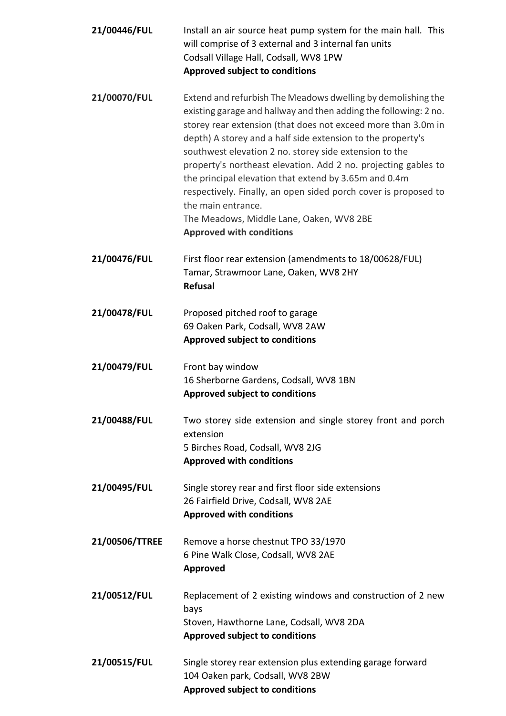| 21/00446/FUL   | Install an air source heat pump system for the main hall. This<br>will comprise of 3 external and 3 internal fan units<br>Codsall Village Hall, Codsall, WV8 1PW<br><b>Approved subject to conditions</b>                                                                                                                                                                                                                                                                                                                                                                                                                     |
|----------------|-------------------------------------------------------------------------------------------------------------------------------------------------------------------------------------------------------------------------------------------------------------------------------------------------------------------------------------------------------------------------------------------------------------------------------------------------------------------------------------------------------------------------------------------------------------------------------------------------------------------------------|
|                |                                                                                                                                                                                                                                                                                                                                                                                                                                                                                                                                                                                                                               |
| 21/00070/FUL   | Extend and refurbish The Meadows dwelling by demolishing the<br>existing garage and hallway and then adding the following: 2 no.<br>storey rear extension (that does not exceed more than 3.0m in<br>depth) A storey and a half side extension to the property's<br>southwest elevation 2 no. storey side extension to the<br>property's northeast elevation. Add 2 no. projecting gables to<br>the principal elevation that extend by 3.65m and 0.4m<br>respectively. Finally, an open sided porch cover is proposed to<br>the main entrance.<br>The Meadows, Middle Lane, Oaken, WV8 2BE<br><b>Approved with conditions</b> |
| 21/00476/FUL   | First floor rear extension (amendments to 18/00628/FUL)<br>Tamar, Strawmoor Lane, Oaken, WV8 2HY<br><b>Refusal</b>                                                                                                                                                                                                                                                                                                                                                                                                                                                                                                            |
| 21/00478/FUL   | Proposed pitched roof to garage<br>69 Oaken Park, Codsall, WV8 2AW<br><b>Approved subject to conditions</b>                                                                                                                                                                                                                                                                                                                                                                                                                                                                                                                   |
| 21/00479/FUL   | Front bay window<br>16 Sherborne Gardens, Codsall, WV8 1BN<br><b>Approved subject to conditions</b>                                                                                                                                                                                                                                                                                                                                                                                                                                                                                                                           |
| 21/00488/FUL   | Two storey side extension and single storey front and porch<br>extension<br>5 Birches Road, Codsall, WV8 2JG<br><b>Approved with conditions</b>                                                                                                                                                                                                                                                                                                                                                                                                                                                                               |
| 21/00495/FUL   | Single storey rear and first floor side extensions<br>26 Fairfield Drive, Codsall, WV8 2AE<br><b>Approved with conditions</b>                                                                                                                                                                                                                                                                                                                                                                                                                                                                                                 |
| 21/00506/TTREE | Remove a horse chestnut TPO 33/1970<br>6 Pine Walk Close, Codsall, WV8 2AE<br>Approved                                                                                                                                                                                                                                                                                                                                                                                                                                                                                                                                        |
| 21/00512/FUL   | Replacement of 2 existing windows and construction of 2 new<br>bays<br>Stoven, Hawthorne Lane, Codsall, WV8 2DA<br><b>Approved subject to conditions</b>                                                                                                                                                                                                                                                                                                                                                                                                                                                                      |
| 21/00515/FUL   | Single storey rear extension plus extending garage forward<br>104 Oaken park, Codsall, WV8 2BW<br><b>Approved subject to conditions</b>                                                                                                                                                                                                                                                                                                                                                                                                                                                                                       |